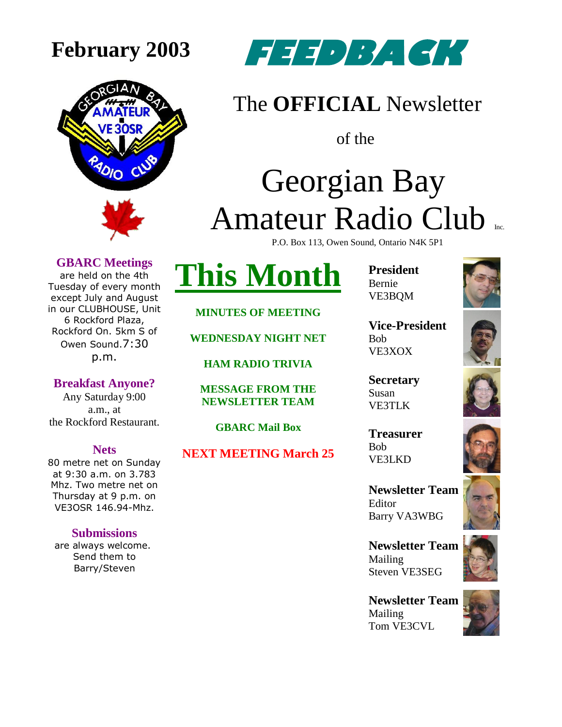



#### The **OFFICIAL** Newsletter

of the

### Georgian Bay Amateur Radio Club P.O. Box 113, Owen Sound, Ontario N4K 5P1

**GBARC Meetings**

are held on the 4th Tuesday of every month except July and August in our CLUBHOUSE, Unit 6 Rockford Plaza, Rockford On. 5km S of Owen Sound.7:30 p.m.

**Breakfast Anyone?** Any Saturday 9:00 a.m., at the Rockford Restaurant.

#### **Nets**

80 metre net on Sunday at 9:30 a.m. on 3.783 Mhz. Two metre net on Thursday at 9 p.m. on VE3OSR 146.94-Mhz.

#### **Submissions**

are always welcome. Send them to Barry/Steven



**MINUTES OF MEETING**

**WEDNESDAY NIGHT NET**

**HAM RADIO TRIVIA**

**MESSAGE FROM THE NEWSLETTER TEAM**

**GBARC Mail Box**

**NEXT MEETING March 25**

**President** Bernie VE3BQM



**Vice-President** Bob VE3XOX

**Secretary** Susan VE3TLK

**Treasurer** Bob VE3LKD

**Newsletter Team**  Editor Barry VA3WBG

**Newsletter Team**  Mailing Steven VE3SEG

**Newsletter Team**  Mailing Tom VE3CVL







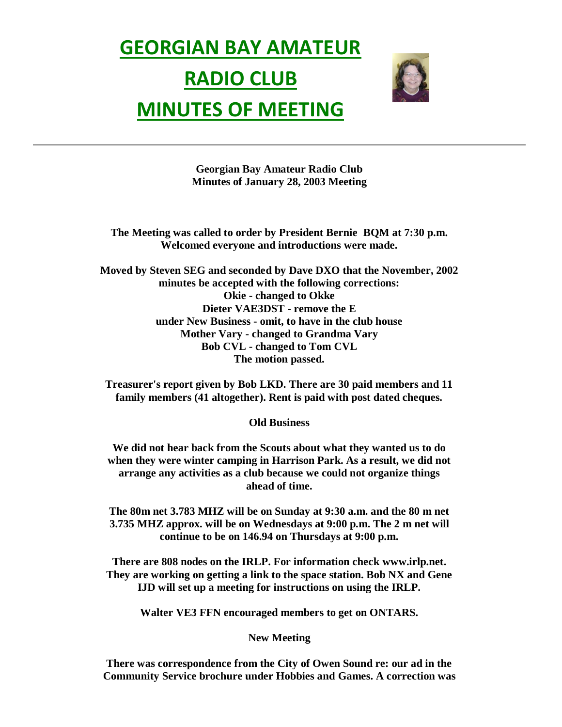## **GEORGIAN BAY AMATEUR RADIO CLUB MINUTES OF MEETING**



**Georgian Bay Amateur Radio Club Minutes of January 28, 2003 Meeting**

**The Meeting was called to order by President Bernie BQM at 7:30 p.m. Welcomed everyone and introductions were made.**

**Moved by Steven SEG and seconded by Dave DXO that the November, 2002 minutes be accepted with the following corrections: Okie - changed to Okke Dieter VAE3DST - remove the E under New Business - omit, to have in the club house Mother Vary - changed to Grandma Vary Bob CVL - changed to Tom CVL The motion passed.**

**Treasurer's report given by Bob LKD. There are 30 paid members and 11 family members (41 altogether). Rent is paid with post dated cheques.**

**Old Business**

**We did not hear back from the Scouts about what they wanted us to do when they were winter camping in Harrison Park. As a result, we did not arrange any activities as a club because we could not organize things ahead of time.**

**The 80m net 3.783 MHZ will be on Sunday at 9:30 a.m. and the 80 m net 3.735 MHZ approx. will be on Wednesdays at 9:00 p.m. The 2 m net will continue to be on 146.94 on Thursdays at 9:00 p.m.**

**There are 808 nodes on the IRLP. For information check www.irlp.net. They are working on getting a link to the space station. Bob NX and Gene IJD will set up a meeting for instructions on using the IRLP.**

**Walter VE3 FFN encouraged members to get on ONTARS.**

#### **New Meeting**

**There was correspondence from the City of Owen Sound re: our ad in the Community Service brochure under Hobbies and Games. A correction was**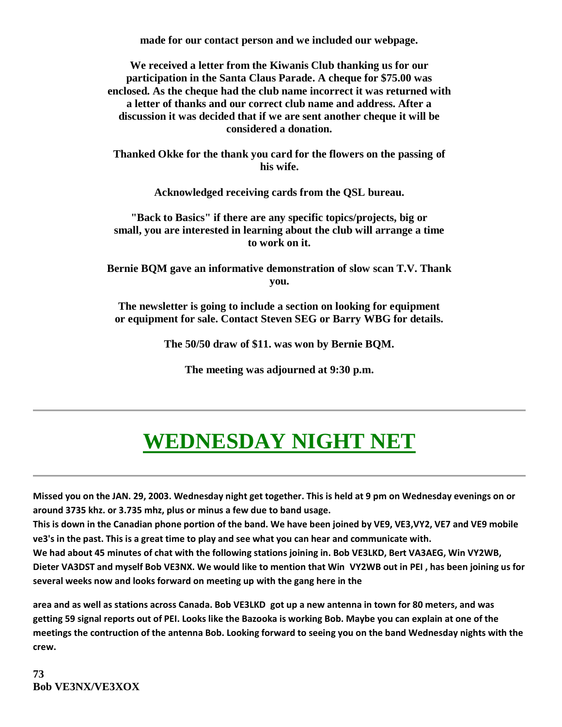**made for our contact person and we included our webpage.**

**We received a letter from the Kiwanis Club thanking us for our participation in the Santa Claus Parade. A cheque for \$75.00 was enclosed. As the cheque had the club name incorrect it was returned with a letter of thanks and our correct club name and address. After a discussion it was decided that if we are sent another cheque it will be considered a donation.**

**Thanked Okke for the thank you card for the flowers on the passing of his wife.**

**Acknowledged receiving cards from the QSL bureau.**

**"Back to Basics" if there are any specific topics/projects, big or small, you are interested in learning about the club will arrange a time to work on it.**

**Bernie BQM gave an informative demonstration of slow scan T.V. Thank you.**

**The newsletter is going to include a section on looking for equipment or equipment for sale. Contact Steven SEG or Barry WBG for details.** 

**The 50/50 draw of \$11. was won by Bernie BQM.**

**The meeting was adjourned at 9:30 p.m.**

### **WEDNESDAY NIGHT NET**

**Missed you on the JAN. 29, 2003. Wednesday night get together. This is held at 9 pm on Wednesday evenings on or around 3735 khz. or 3.735 mhz, plus or minus a few due to band usage.**

**This is down in the Canadian phone portion of the band. We have been joined by VE9, VE3,VY2, VE7 and VE9 mobile ve3's in the past. This is a great time to play and see what you can hear and communicate with.**

**We had about 45 minutes of chat with the following stations joining in. Bob VE3LKD, Bert VA3AEG, Win VY2WB, Dieter VA3DST and myself Bob VE3NX. We would like to mention that Win VY2WB out in PEI , has been joining us for several weeks now and looks forward on meeting up with the gang here in the** 

**area and as well as stations across Canada. Bob VE3LKD got up a new antenna in town for 80 meters, and was getting 59 signal reports out of PEI. Looks like the Bazooka is working Bob. Maybe you can explain at one of the meetings the contruction of the antenna Bob. Looking forward to seeing you on the band Wednesday nights with the crew.**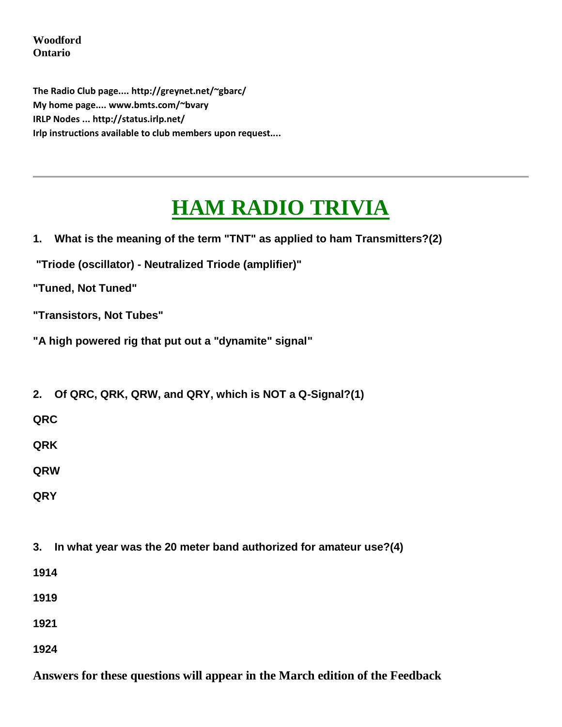**Woodford Ontario**

**The Radio Club page.... http://greynet.net/~gbarc/ My home page.... www.bmts.com/~bvary IRLP Nodes ... http://status.irlp.net/ Irlp instructions available to club members upon request....**

### **HAM RADIO TRIVIA**

| What is the meaning of the term "TNT" as applied to ham Transmitters?(2)<br>1. |
|--------------------------------------------------------------------------------|
| "Triode (oscillator) - Neutralized Triode (amplifier)"                         |
| "Tuned, Not Tuned"                                                             |
| "Transistors, Not Tubes"                                                       |
| "A high powered rig that put out a "dynamite" signal"                          |
|                                                                                |
| Of QRC, QRK, QRW, and QRY, which is NOT a Q-Signal?(1)<br>2.                   |
| QRC                                                                            |
| QRK                                                                            |
| QRW                                                                            |
| <b>QRY</b>                                                                     |
|                                                                                |
| In what year was the 20 meter band authorized for amateur use?(4)<br>3.        |
| 1914                                                                           |
| 1919                                                                           |
| 1921                                                                           |
| 1924                                                                           |
|                                                                                |

**Answers for these questions will appear in the March edition of the Feedback**